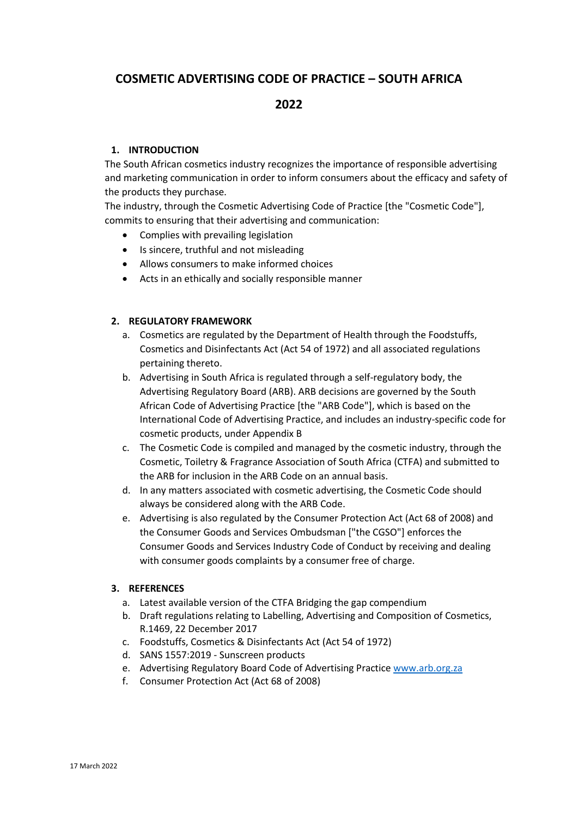# **COSMETIC ADVERTISING CODE OF PRACTICE – SOUTH AFRICA**

# **2022**

### **1. INTRODUCTION**

The South African cosmetics industry recognizes the importance of responsible advertising and marketing communication in order to inform consumers about the efficacy and safety of the products they purchase.

The industry, through the Cosmetic Advertising Code of Practice [the "Cosmetic Code"], commits to ensuring that their advertising and communication:

- Complies with prevailing legislation
- Is sincere, truthful and not misleading
- Allows consumers to make informed choices
- Acts in an ethically and socially responsible manner

### **2. REGULATORY FRAMEWORK**

- a. Cosmetics are regulated by the Department of Health through the Foodstuffs, Cosmetics and Disinfectants Act (Act 54 of 1972) and all associated regulations pertaining thereto.
- b. Advertising in South Africa is regulated through a self-regulatory body, the Advertising Regulatory Board (ARB). ARB decisions are governed by the South African Code of Advertising Practice [the "ARB Code"], which is based on the International Code of Advertising Practice, and includes an industry-specific code for cosmetic products, under Appendix B
- c. The Cosmetic Code is compiled and managed by the cosmetic industry, through the Cosmetic, Toiletry & Fragrance Association of South Africa (CTFA) and submitted to the ARB for inclusion in the ARB Code on an annual basis.
- d. In any matters associated with cosmetic advertising, the Cosmetic Code should always be considered along with the ARB Code.
- e. Advertising is also regulated by the Consumer Protection Act (Act 68 of 2008) and the Consumer Goods and Services Ombudsman ["the CGSO"] enforces the Consumer Goods and Services Industry Code of Conduct by receiving and dealing with consumer goods complaints by a consumer free of charge.

### **3. REFERENCES**

- a. Latest available version of the CTFA Bridging the gap compendium
- b. Draft regulations relating to Labelling, Advertising and Composition of Cosmetics, R.1469, 22 December 2017
- c. Foodstuffs, Cosmetics & Disinfectants Act (Act 54 of 1972)
- d. SANS 1557:2019 Sunscreen products
- e. Advertising Regulatory Board Code of Advertising Practice [www.arb.org.za](http://www.arb.org.za/)
- f. Consumer Protection Act (Act 68 of 2008)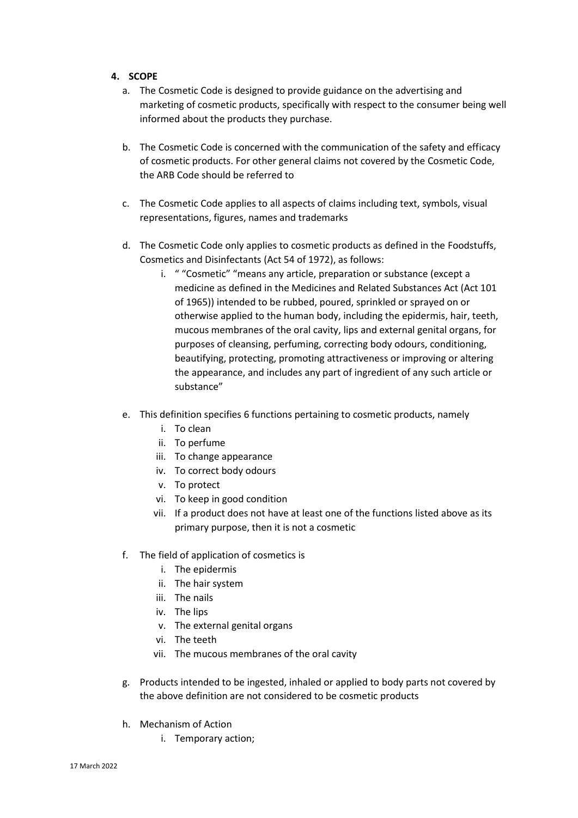### **4. SCOPE**

- a. The Cosmetic Code is designed to provide guidance on the advertising and marketing of cosmetic products, specifically with respect to the consumer being well informed about the products they purchase.
- b. The Cosmetic Code is concerned with the communication of the safety and efficacy of cosmetic products. For other general claims not covered by the Cosmetic Code, the ARB Code should be referred to
- c. The Cosmetic Code applies to all aspects of claims including text, symbols, visual representations, figures, names and trademarks
- d. The Cosmetic Code only applies to cosmetic products as defined in the Foodstuffs, Cosmetics and Disinfectants (Act 54 of 1972), as follows:
	- i. " "Cosmetic" "means any article, preparation or substance (except a medicine as defined in the Medicines and Related Substances Act (Act 101 of 1965)) intended to be rubbed, poured, sprinkled or sprayed on or otherwise applied to the human body, including the epidermis, hair, teeth, mucous membranes of the oral cavity, lips and external genital organs, for purposes of cleansing, perfuming, correcting body odours, conditioning, beautifying, protecting, promoting attractiveness or improving or altering the appearance, and includes any part of ingredient of any such article or substance"
- e. This definition specifies 6 functions pertaining to cosmetic products, namely
	- i. To clean
	- ii. To perfume
	- iii. To change appearance
	- iv. To correct body odours
	- v. To protect
	- vi. To keep in good condition
	- vii. If a product does not have at least one of the functions listed above as its primary purpose, then it is not a cosmetic
- f. The field of application of cosmetics is
	- i. The epidermis
	- ii. The hair system
	- iii. The nails
	- iv. The lips
	- v. The external genital organs
	- vi. The teeth
	- vii. The mucous membranes of the oral cavity
- g. Products intended to be ingested, inhaled or applied to body parts not covered by the above definition are not considered to be cosmetic products
- h. Mechanism of Action
	- i. Temporary action;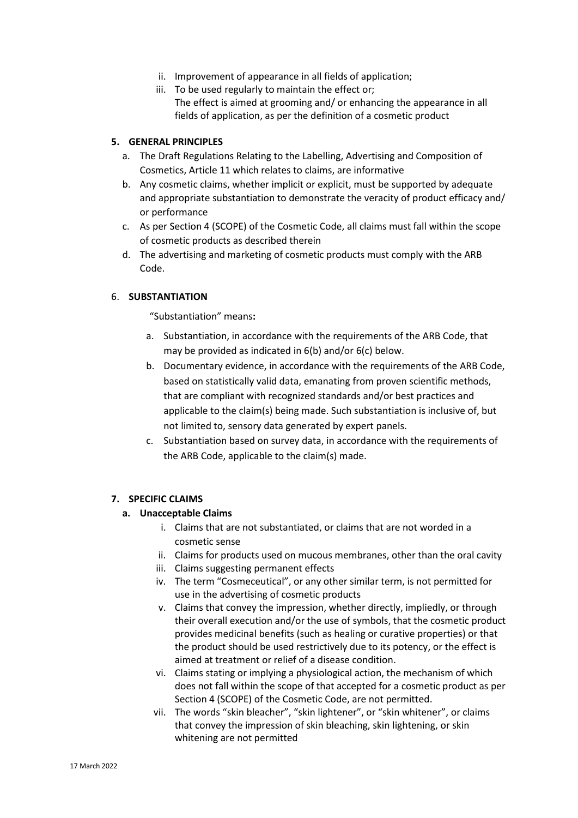- ii. Improvement of appearance in all fields of application;
- iii. To be used regularly to maintain the effect or; The effect is aimed at grooming and/ or enhancing the appearance in all fields of application, as per the definition of a cosmetic product

#### **5. GENERAL PRINCIPLES**

- a. The Draft Regulations Relating to the Labelling, Advertising and Composition of Cosmetics, Article 11 which relates to claims, are informative
- b. Any cosmetic claims, whether implicit or explicit, must be supported by adequate and appropriate substantiation to demonstrate the veracity of product efficacy and/ or performance
- c. As per Section 4 (SCOPE) of the Cosmetic Code, all claims must fall within the scope of cosmetic products as described therein
- d. The advertising and marketing of cosmetic products must comply with the ARB Code.

#### 6. **SUBSTANTIATION**

"Substantiation" means**:**

- a. Substantiation, in accordance with the requirements of the ARB Code, that may be provided as indicated in 6(b) and/or 6(c) below.
- b. Documentary evidence, in accordance with the requirements of the ARB Code, based on statistically valid data, emanating from proven scientific methods, that are compliant with recognized standards and/or best practices and applicable to the claim(s) being made. Such substantiation is inclusive of, but not limited to, sensory data generated by expert panels.
- c. Substantiation based on survey data, in accordance with the requirements of the ARB Code, applicable to the claim(s) made.

### **7. SPECIFIC CLAIMS**

### **a. Unacceptable Claims**

- i. Claims that are not substantiated, or claims that are not worded in a cosmetic sense
- ii. Claims for products used on mucous membranes, other than the oral cavity
- iii. Claims suggesting permanent effects
- iv. The term "Cosmeceutical", or any other similar term, is not permitted for use in the advertising of cosmetic products
- v. Claims that convey the impression, whether directly, impliedly, or through their overall execution and/or the use of symbols, that the cosmetic product provides medicinal benefits (such as healing or curative properties) or that the product should be used restrictively due to its potency, or the effect is aimed at treatment or relief of a disease condition.
- vi. Claims stating or implying a physiological action, the mechanism of which does not fall within the scope of that accepted for a cosmetic product as per Section 4 (SCOPE) of the Cosmetic Code, are not permitted.
- vii. The words "skin bleacher", "skin lightener", or "skin whitener", or claims that convey the impression of skin bleaching, skin lightening, or skin whitening are not permitted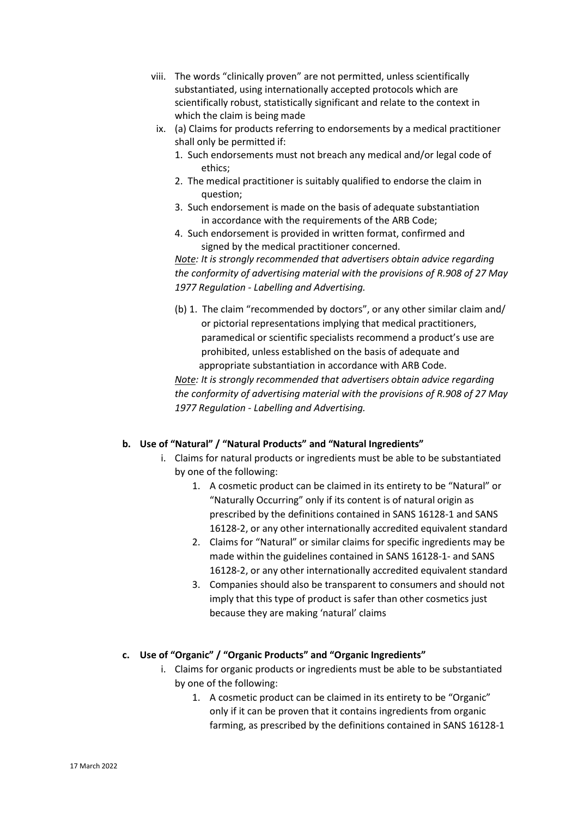- viii. The words "clinically proven" are not permitted, unless scientifically substantiated, using internationally accepted protocols which are scientifically robust, statistically significant and relate to the context in which the claim is being made
	- ix. (a) Claims for products referring to endorsements by a medical practitioner shall only be permitted if:
		- 1. Such endorsements must not breach any medical and/or legal code of ethics;
		- 2. The medical practitioner is suitably qualified to endorse the claim in question;
		- 3. Such endorsement is made on the basis of adequate substantiation in accordance with the requirements of the ARB Code;
		- 4. Such endorsement is provided in written format, confirmed and signed by the medical practitioner concerned.

*Note: It is strongly recommended that advertisers obtain advice regarding the conformity of advertising material with the provisions of R.908 of 27 May 1977 Regulation - Labelling and Advertising.*

(b) 1. The claim "recommended by doctors", or any other similar claim and/ or pictorial representations implying that medical practitioners, paramedical or scientific specialists recommend a product's use are prohibited, unless established on the basis of adequate and appropriate substantiation in accordance with ARB Code.

*Note: It is strongly recommended that advertisers obtain advice regarding the conformity of advertising material with the provisions of R.908 of 27 May 1977 Regulation - Labelling and Advertising.*

### **b. Use of "Natural" / "Natural Products" and "Natural Ingredients"**

- i. Claims for natural products or ingredients must be able to be substantiated by one of the following:
	- 1. A cosmetic product can be claimed in its entirety to be "Natural" or "Naturally Occurring" only if its content is of natural origin as prescribed by the definitions contained in SANS 16128-1 and SANS 16128-2, or any other internationally accredited equivalent standard
	- 2. Claims for "Natural" or similar claims for specific ingredients may be made within the guidelines contained in SANS 16128-1- and SANS 16128-2, or any other internationally accredited equivalent standard
	- 3. Companies should also be transparent to consumers and should not imply that this type of product is safer than other cosmetics just because they are making 'natural' claims

### **c. Use of "Organic" / "Organic Products" and "Organic Ingredients"**

- i. Claims for organic products or ingredients must be able to be substantiated by one of the following:
	- 1. A cosmetic product can be claimed in its entirety to be "Organic" only if it can be proven that it contains ingredients from organic farming, as prescribed by the definitions contained in SANS 16128-1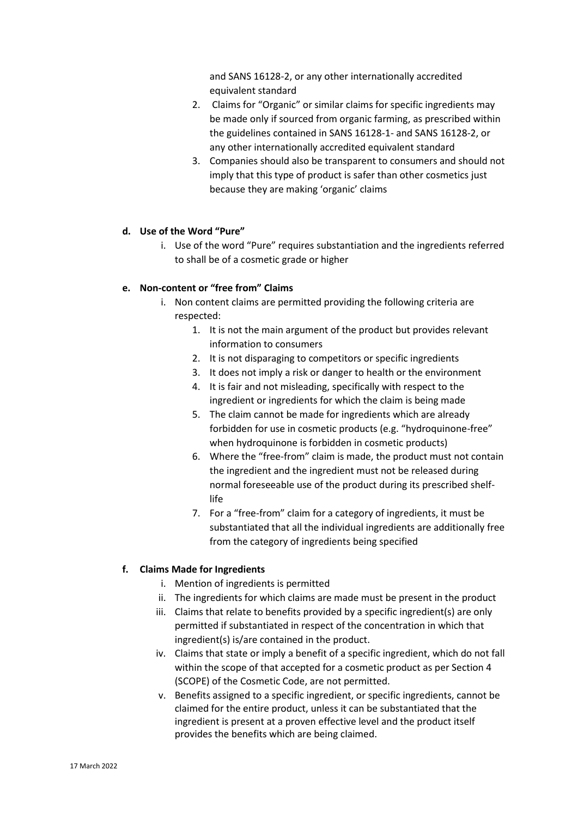and SANS 16128-2, or any other internationally accredited equivalent standard

- 2. Claims for "Organic" or similar claims for specific ingredients may be made only if sourced from organic farming, as prescribed within the guidelines contained in SANS 16128-1- and SANS 16128-2, or any other internationally accredited equivalent standard
- 3. Companies should also be transparent to consumers and should not imply that this type of product is safer than other cosmetics just because they are making 'organic' claims

### **d. Use of the Word "Pure"**

i. Use of the word "Pure" requires substantiation and the ingredients referred to shall be of a cosmetic grade or higher

# **e. Non-content or "free from" Claims**

- i. Non content claims are permitted providing the following criteria are respected:
	- 1. It is not the main argument of the product but provides relevant information to consumers
	- 2. It is not disparaging to competitors or specific ingredients
	- 3. It does not imply a risk or danger to health or the environment
	- 4. It is fair and not misleading, specifically with respect to the ingredient or ingredients for which the claim is being made
	- 5. The claim cannot be made for ingredients which are already forbidden for use in cosmetic products (e.g. "hydroquinone-free" when hydroquinone is forbidden in cosmetic products)
	- 6. Where the "free-from" claim is made, the product must not contain the ingredient and the ingredient must not be released during normal foreseeable use of the product during its prescribed shelflife
	- 7. For a "free-from" claim for a category of ingredients, it must be substantiated that all the individual ingredients are additionally free from the category of ingredients being specified

### **f. Claims Made for Ingredients**

- i. Mention of ingredients is permitted
- ii. The ingredients for which claims are made must be present in the product
- iii. Claims that relate to benefits provided by a specific ingredient(s) are only permitted if substantiated in respect of the concentration in which that ingredient(s) is/are contained in the product.
- iv. Claims that state or imply a benefit of a specific ingredient, which do not fall within the scope of that accepted for a cosmetic product as per Section 4 (SCOPE) of the Cosmetic Code, are not permitted.
- v. Benefits assigned to a specific ingredient, or specific ingredients, cannot be claimed for the entire product, unless it can be substantiated that the ingredient is present at a proven effective level and the product itself provides the benefits which are being claimed.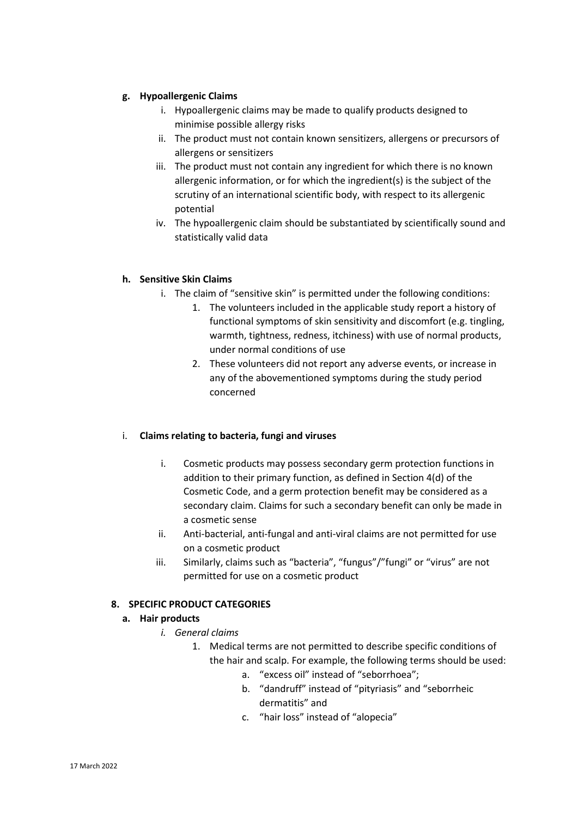# **g. Hypoallergenic Claims**

- i. Hypoallergenic claims may be made to qualify products designed to minimise possible allergy risks
- ii. The product must not contain known sensitizers, allergens or precursors of allergens or sensitizers
- iii. The product must not contain any ingredient for which there is no known allergenic information, or for which the ingredient(s) is the subject of the scrutiny of an international scientific body, with respect to its allergenic potential
- iv. The hypoallergenic claim should be substantiated by scientifically sound and statistically valid data

### **h. Sensitive Skin Claims**

- i. The claim of "sensitive skin" is permitted under the following conditions:
	- 1. The volunteers included in the applicable study report a history of functional symptoms of skin sensitivity and discomfort (e.g. tingling, warmth, tightness, redness, itchiness) with use of normal products, under normal conditions of use
	- 2. These volunteers did not report any adverse events, or increase in any of the abovementioned symptoms during the study period concerned

### i. **Claims relating to bacteria, fungi and viruses**

- i. Cosmetic products may possess secondary germ protection functions in addition to their primary function, as defined in Section 4(d) of the Cosmetic Code, and a germ protection benefit may be considered as a secondary claim. Claims for such a secondary benefit can only be made in a cosmetic sense
- ii. Anti-bacterial, anti-fungal and anti-viral claims are not permitted for use on a cosmetic product
- iii. Similarly, claims such as "bacteria", "fungus"/"fungi" or "virus" are not permitted for use on a cosmetic product

# **8. SPECIFIC PRODUCT CATEGORIES**

### **a. Hair products**

- *i. General claims*
	- 1. Medical terms are not permitted to describe specific conditions of the hair and scalp. For example, the following terms should be used:
		- a. "excess oil" instead of "seborrhoea";
		- b. "dandruff" instead of "pityriasis" and "seborrheic dermatitis" and
		- c. "hair loss" instead of "alopecia"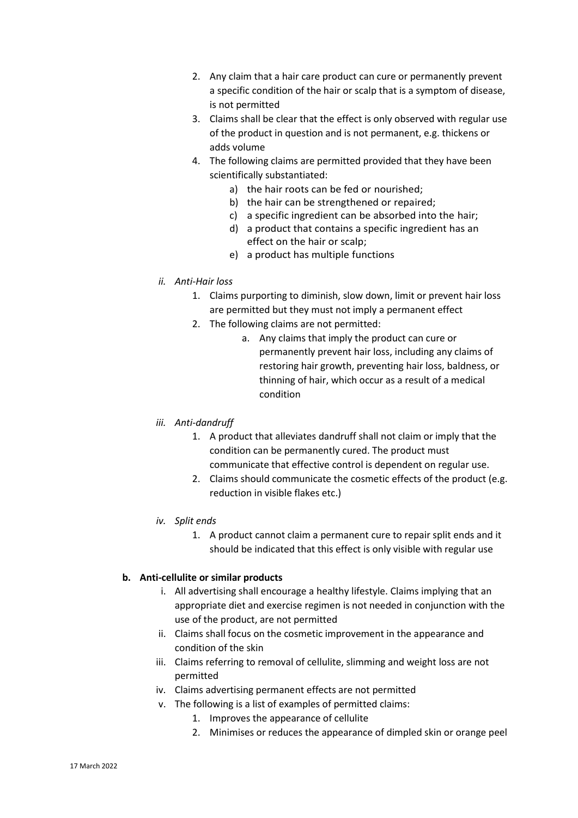- 2. Any claim that a hair care product can cure or permanently prevent a specific condition of the hair or scalp that is a symptom of disease, is not permitted
- 3. Claims shall be clear that the effect is only observed with regular use of the product in question and is not permanent, e.g. thickens or adds volume
- 4. The following claims are permitted provided that they have been scientifically substantiated:
	- a) the hair roots can be fed or nourished;
	- b) the hair can be strengthened or repaired;
	- c) a specific ingredient can be absorbed into the hair;
	- d) a product that contains a specific ingredient has an effect on the hair or scalp;
	- e) a product has multiple functions

### *ii. Anti-Hair loss*

- 1. Claims purporting to diminish, slow down, limit or prevent hair loss are permitted but they must not imply a permanent effect
- 2. The following claims are not permitted:
	- a. Any claims that imply the product can cure or permanently prevent hair loss, including any claims of restoring hair growth, preventing hair loss, baldness, or thinning of hair, which occur as a result of a medical condition

# *iii. Anti-dandruff*

- 1. A product that alleviates dandruff shall not claim or imply that the condition can be permanently cured. The product must communicate that effective control is dependent on regular use.
- 2. Claims should communicate the cosmetic effects of the product (e.g. reduction in visible flakes etc.)
- *iv. Split ends*
	- 1. A product cannot claim a permanent cure to repair split ends and it should be indicated that this effect is only visible with regular use

### **b. Anti-cellulite or similar products**

- i. All advertising shall encourage a healthy lifestyle. Claims implying that an appropriate diet and exercise regimen is not needed in conjunction with the use of the product, are not permitted
- ii. Claims shall focus on the cosmetic improvement in the appearance and condition of the skin
- iii. Claims referring to removal of cellulite, slimming and weight loss are not permitted
- iv. Claims advertising permanent effects are not permitted
- v. The following is a list of examples of permitted claims:
	- 1. Improves the appearance of cellulite
	- 2. Minimises or reduces the appearance of dimpled skin or orange peel